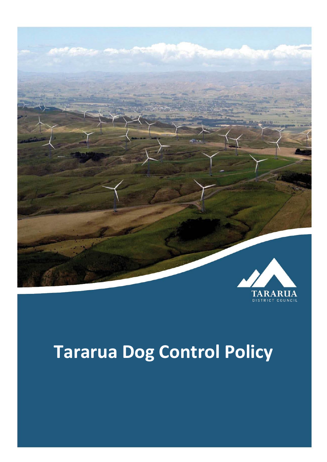

# **Tararua Dog Control Policy**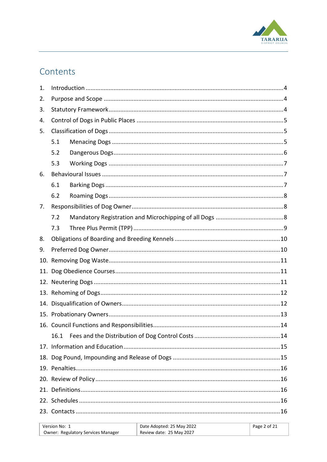

# Contents

| 1. |      |  |
|----|------|--|
| 2. |      |  |
| 3. |      |  |
| 4. |      |  |
| 5. |      |  |
|    | 5.1  |  |
|    | 5.2  |  |
|    | 5.3  |  |
| 6. |      |  |
|    | 6.1  |  |
|    | 6.2  |  |
| 7. |      |  |
|    | 7.2  |  |
|    | 7.3  |  |
| 8. |      |  |
| 9. |      |  |
|    |      |  |
|    |      |  |
|    |      |  |
|    |      |  |
|    |      |  |
|    |      |  |
|    |      |  |
|    | 16.1 |  |
|    |      |  |
|    |      |  |
|    |      |  |
|    |      |  |
|    |      |  |
|    |      |  |
|    |      |  |
|    |      |  |

| Version No: 1                             | Date Adopted: 25 May 2022 | Page 2 of 21 |
|-------------------------------------------|---------------------------|--------------|
| <b>Owner: Regulatory Services Manager</b> | Review date: 25 May 2027  |              |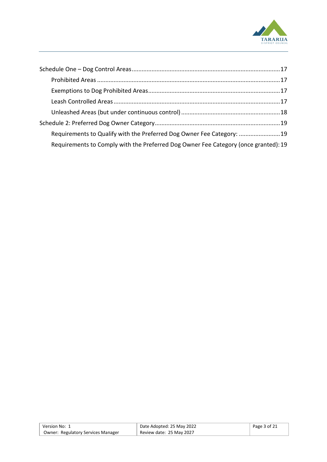

| Requirements to Qualify with the Preferred Dog Owner Fee Category: 19               |  |
|-------------------------------------------------------------------------------------|--|
| Requirements to Comply with the Preferred Dog Owner Fee Category (once granted): 19 |  |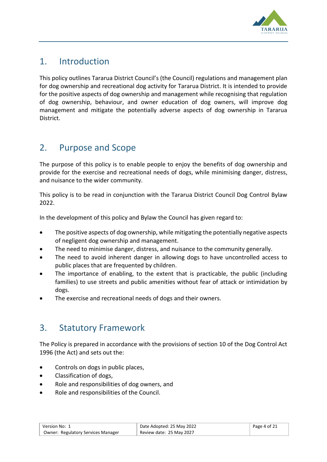

# <span id="page-3-0"></span>1. Introduction

This policy outlines Tararua District Council's (the Council) regulations and management plan for dog ownership and recreational dog activity for Tararua District. It is intended to provide for the positive aspects of dog ownership and management while recognising that regulation of dog ownership, behaviour, and owner education of dog owners, will improve dog management and mitigate the potentially adverse aspects of dog ownership in Tararua **District** 

# <span id="page-3-1"></span>2. Purpose and Scope

The purpose of this policy is to enable people to enjoy the benefits of dog ownership and provide for the exercise and recreational needs of dogs, while minimising danger, distress, and nuisance to the wider community.

This policy is to be read in conjunction with the Tararua District Council Dog Control Bylaw 2022.

In the development of this policy and Bylaw the Council has given regard to:

- The positive aspects of dog ownership, while mitigating the potentially negative aspects of negligent dog ownership and management.
- The need to minimise danger, distress, and nuisance to the community generally.
- The need to avoid inherent danger in allowing dogs to have uncontrolled access to public places that are frequented by children.
- The importance of enabling, to the extent that is practicable, the public (including families) to use streets and public amenities without fear of attack or intimidation by dogs.
- The exercise and recreational needs of dogs and their owners.

# <span id="page-3-2"></span>3. Statutory Framework

The Policy is prepared in accordance with the provisions of section 10 of the Dog Control Act 1996 (the Act) and sets out the:

- Controls on dogs in public places,
- Classification of dogs,
- Role and responsibilities of dog owners, and
- Role and responsibilities of the Council.

| Version No: 1                             | Date Adopted: 25 May 2022 | Page 4 of 21 |
|-------------------------------------------|---------------------------|--------------|
| <b>Owner: Regulatory Services Manager</b> | Review date: 25 May 2027  |              |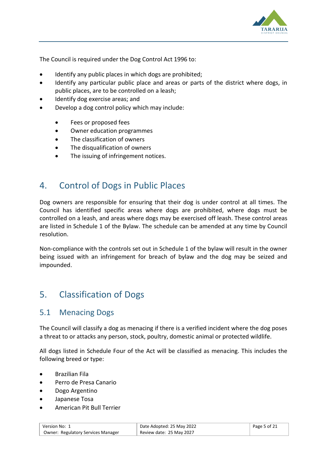

The Council is required under the Dog Control Act 1996 to:

- Identify any public places in which dogs are prohibited;
- Identify any particular public place and areas or parts of the district where dogs, in public places, are to be controlled on a leash;
- Identify dog exercise areas; and
- Develop a dog control policy which may include:
	- Fees or proposed fees
	- Owner education programmes
	- The classification of owners
	- The disqualification of owners
	- The issuing of infringement notices.

## <span id="page-4-0"></span>4. Control of Dogs in Public Places

Dog owners are responsible for ensuring that their dog is under control at all times. The Council has identified specific areas where dogs are prohibited, where dogs must be controlled on a leash, and areas where dogs may be exercised off leash. These control areas are listed in Schedule 1 of the Bylaw. The schedule can be amended at any time by Council resolution.

Non-compliance with the controls set out in Schedule 1 of the bylaw will result in the owner being issued with an infringement for breach of bylaw and the dog may be seized and impounded.

#### <span id="page-4-1"></span>5. Classification of Dogs

#### <span id="page-4-2"></span>5.1 Menacing Dogs

The Council will classify a dog as menacing if there is a verified incident where the dog poses a threat to or attacks any person, stock, poultry, domestic animal or protected wildlife.

All dogs listed in Schedule Four of the Act will be classified as menacing. This includes the following breed or type:

- Brazilian Fila
- Perro de Presa Canario
- Dogo Argentino
- Japanese Tosa
- American Pit Bull Terrier

| Version No: 1                             | Date Adopted: 25 May 2022 | Page 5 of 21 |
|-------------------------------------------|---------------------------|--------------|
| <b>Owner: Regulatory Services Manager</b> | Review date: 25 May 2027  |              |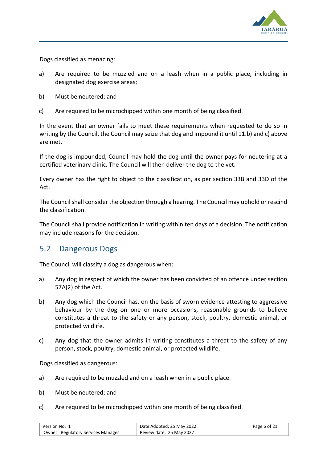

Dogs classified as menacing:

- a) Are required to be muzzled and on a leash when in a public place, including in designated dog exercise areas;
- b) Must be neutered; and
- c) Are required to be microchipped within one month of being classified.

In the event that an owner fails to meet these requirements when requested to do so in writing by the Council, the Council may seize that dog and impound it until 11.b) and c) above are met.

If the dog is impounded, Council may hold the dog until the owner pays for neutering at a certified veterinary clinic. The Council will then deliver the dog to the vet.

Every owner has the right to object to the classification, as per section 33B and 33D of the Act.

The Council shall consider the objection through a hearing. The Council may uphold or rescind the classification.

The Council shall provide notification in writing within ten days of a decision. The notification may include reasons for the decision.

#### <span id="page-5-0"></span>5.2 Dangerous Dogs

The Council will classify a dog as dangerous when:

- a) Any dog in respect of which the owner has been convicted of an offence under section 57A(2) of the Act.
- b) Any dog which the Council has, on the basis of sworn evidence attesting to aggressive behaviour by the dog on one or more occasions, reasonable grounds to believe constitutes a threat to the safety or any person, stock, poultry, domestic animal, or protected wildlife.
- c) Any dog that the owner admits in writing constitutes a threat to the safety of any person, stock, poultry, domestic animal, or protected wildlife.

Dogs classified as dangerous:

- a) Are required to be muzzled and on a leash when in a public place.
- b) Must be neutered; and
- c) Are required to be microchipped within one month of being classified.

| Version No: 1                             | Date Adopted: 25 May 2022 | $P$ age 6 of 21 |
|-------------------------------------------|---------------------------|-----------------|
| <b>Owner: Regulatory Services Manager</b> | Review date: 25 May 2027  |                 |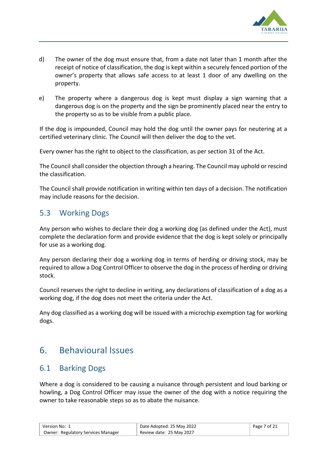

- d) The owner of the dog must ensure that, from a date not later than 1 month after the receipt of notice of classification, the dog is kept within a securely fenced portion of the owner's property that allows safe access to at least 1 door of any dwelling on the property.
- e) The property where a dangerous dog is kept must display a sign warning that a dangerous dog is on the property and the sign be prominently placed near the entry to the property so as to be visible from a public place.

If the dog is impounded, Council may hold the dog until the owner pays for neutering at a certified veterinary clinic. The Council will then deliver the dog to the vet.

Every owner has the right to object to the classification, as per section 31 of the Act.

The Council shall consider the objection through a hearing. The Council may uphold or rescind the classification.

The Council shall provide notification in writing within ten days of a decision. The notification may include reasons for the decision.

#### <span id="page-6-0"></span>5.3 Working Dogs

Any person who wishes to declare their dog a working dog (as defined under the Act), must complete the declaration form and provide evidence that the dog is kept solely or principally for use as a working dog.

Any person declaring their dog a working dog in terms of herding or driving stock, may be required to allow a Dog Control Officer to observe the dog in the process of herding or driving stock.

Council reserves the right to decline in writing, any declarations of classification of a dog as a working dog, if the dog does not meet the criteria under the Act.

Any dog classified as a working dog will be issued with a microchip exemption tag for working dogs.

# <span id="page-6-1"></span>6. Behavioural Issues

#### <span id="page-6-2"></span>6.1 Barking Dogs

Where a dog is considered to be causing a nuisance through persistent and loud barking or howling, a Dog Control Officer may issue the owner of the dog with a notice requiring the owner to take reasonable steps so as to abate the nuisance.

| Version No: 1 »                           | Date Adopted: 25 May 2022 | Page 7 of 21 |
|-------------------------------------------|---------------------------|--------------|
| <b>Owner: Regulatory Services Manager</b> | Review date: 25 May 2027  |              |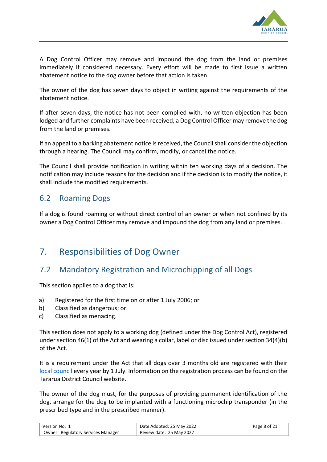

A Dog Control Officer may remove and impound the dog from the land or premises immediately if considered necessary. Every effort will be made to first issue a written abatement notice to the dog owner before that action is taken.

The owner of the dog has seven days to object in writing against the requirements of the abatement notice.

If after seven days, the notice has not been complied with, no written objection has been lodged and further complaints have been received, a Dog Control Officer may remove the dog from the land or premises.

If an appeal to a barking abatement notice is received, the Council shall consider the objection through a hearing. The Council may confirm, modify, or cancel the notice.

The Council shall provide notification in writing within ten working days of a decision. The notification may include reasons for the decision and if the decision is to modify the notice, it shall include the modified requirements.

#### <span id="page-7-0"></span>6.2 Roaming Dogs

If a dog is found roaming or without direct control of an owner or when not confined by its owner a Dog Control Officer may remove and impound the dog from any land or premises.

# <span id="page-7-1"></span>7. Responsibilities of Dog Owner

#### <span id="page-7-2"></span>7.2 Mandatory Registration and Microchipping of all Dogs

This section applies to a dog that is:

- a) Registered for the first time on or after 1 July 2006; or
- b) Classified as dangerous; or
- c) Classified as menacing.

This section does not apply to a working dog (defined under the Dog Control Act), registered under section 46(1) of the Act and wearing a collar, label or disc issued under section 34(4)(b) of the Act.

It is a requirement under the Act that all dogs over 3 months old are registered with their [local council](http://www.dogsafety.govt.nz/dogsafety.nsf/wpg_URL/Your-Council-Index!OpenDocument) every year by 1 July. Information on the registration process can be found on the Tararua District Council website.

The owner of the dog must, for the purposes of providing permanent identification of the dog, arrange for the dog to be implanted with a functioning microchip transponder (in the prescribed type and in the prescribed manner).

| ' Version No: 1                           | Date Adopted: 25 May 2022 | Page $8$ of $21$ |
|-------------------------------------------|---------------------------|------------------|
| <b>Owner: Regulatory Services Manager</b> | Review date: 25 May 2027  |                  |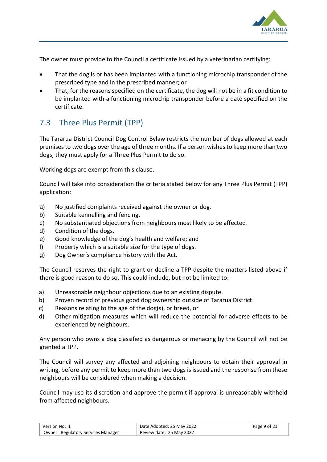

The owner must provide to the Council a certificate issued by a veterinarian certifying:

- That the dog is or has been implanted with a functioning microchip transponder of the prescribed type and in the prescribed manner; or
- That, for the reasons specified on the certificate, the dog will not be in a fit condition to be implanted with a functioning microchip transponder before a date specified on the certificate.

# <span id="page-8-0"></span>7.3 Three Plus Permit (TPP)

The Tararua District Council Dog Control Bylaw restricts the number of dogs allowed at each premises to two dogs over the age of three months. If a person wishes to keep more than two dogs, they must apply for a Three Plus Permit to do so.

Working dogs are exempt from this clause.

Council will take into consideration the criteria stated below for any Three Plus Permit (TPP) application:

- a) No justified complaints received against the owner or dog.
- b) Suitable kennelling and fencing.
- c) No substantiated objections from neighbours most likely to be affected.
- d) Condition of the dogs.
- e) Good knowledge of the dog's health and welfare; and
- f) Property which is a suitable size for the type of dogs.
- g) Dog Owner's compliance history with the Act.

The Council reserves the right to grant or decline a TPP despite the matters listed above if there is good reason to do so. This could include, but not be limited to:

- a) Unreasonable neighbour objections due to an existing dispute.
- b) Proven record of previous good dog ownership outside of Tararua District.
- c) Reasons relating to the age of the dog(s), or breed, or
- d) Other mitigation measures which will reduce the potential for adverse effects to be experienced by neighbours.

Any person who owns a dog classified as dangerous or menacing by the Council will not be granted a TPP.

The Council will survey any affected and adjoining neighbours to obtain their approval in writing, before any permit to keep more than two dogs is issued and the response from these neighbours will be considered when making a decision.

Council may use its discretion and approve the permit if approval is unreasonably withheld from affected neighbours.

| ` Version No: 1                           | Date Adopted: 25 May 2022 | Page $9$ of 21 |
|-------------------------------------------|---------------------------|----------------|
| <b>Owner: Regulatory Services Manager</b> | Review date: 25 May 2027  |                |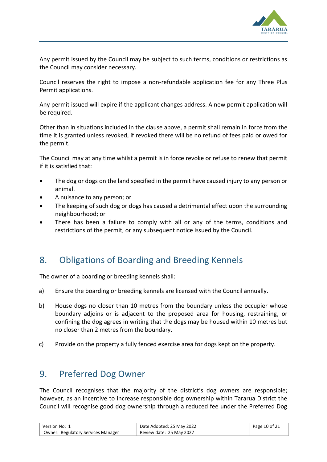

Any permit issued by the Council may be subject to such terms, conditions or restrictions as the Council may consider necessary.

Council reserves the right to impose a non-refundable application fee for any Three Plus Permit applications.

Any permit issued will expire if the applicant changes address. A new permit application will be required.

Other than in situations included in the clause above, a permit shall remain in force from the time it is granted unless revoked, if revoked there will be no refund of fees paid or owed for the permit.

The Council may at any time whilst a permit is in force revoke or refuse to renew that permit if it is satisfied that:

- The dog or dogs on the land specified in the permit have caused injury to any person or animal.
- A nuisance to any person; or
- The keeping of such dog or dogs has caused a detrimental effect upon the surrounding neighbourhood; or
- There has been a failure to comply with all or any of the terms, conditions and restrictions of the permit, or any subsequent notice issued by the Council.

# <span id="page-9-0"></span>8. Obligations of Boarding and Breeding Kennels

The owner of a boarding or breeding kennels shall:

- a) Ensure the boarding or breeding kennels are licensed with the Council annually.
- b) House dogs no closer than 10 metres from the boundary unless the occupier whose boundary adjoins or is adjacent to the proposed area for housing, restraining, or confining the dog agrees in writing that the dogs may be housed within 10 metres but no closer than 2 metres from the boundary.
- c) Provide on the property a fully fenced exercise area for dogs kept on the property.

# <span id="page-9-1"></span>9. Preferred Dog Owner

The Council recognises that the majority of the district's dog owners are responsible; however, as an incentive to increase responsible dog ownership within Tararua District the Council will recognise good dog ownership through a reduced fee under the Preferred Dog

| Version No: 1 »                           | Date Adopted: 25 May 2022 | Page 10 of 21 |
|-------------------------------------------|---------------------------|---------------|
| <b>Owner: Regulatory Services Manager</b> | Review date: 25 May 2027  |               |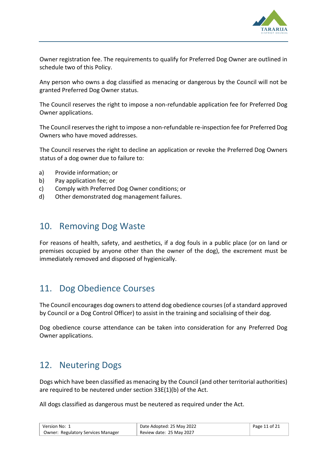

Owner registration fee. The requirements to qualify for Preferred Dog Owner are outlined in schedule two of this Policy.

Any person who owns a dog classified as menacing or dangerous by the Council will not be granted Preferred Dog Owner status.

The Council reserves the right to impose a non-refundable application fee for Preferred Dog Owner applications.

The Council reserves the right to impose a non-refundable re-inspection fee for Preferred Dog Owners who have moved addresses.

The Council reserves the right to decline an application or revoke the Preferred Dog Owners status of a dog owner due to failure to:

- a) Provide information; or
- b) Pay application fee; or
- c) Comply with Preferred Dog Owner conditions; or
- d) Other demonstrated dog management failures.

#### <span id="page-10-0"></span>10. Removing Dog Waste

For reasons of health, safety, and aesthetics, if a dog fouls in a public place (or on land or premises occupied by anyone other than the owner of the dog), the excrement must be immediately removed and disposed of hygienically.

# <span id="page-10-1"></span>11. Dog Obedience Courses

The Council encourages dog owners to attend dog obedience courses (of a standard approved by Council or a Dog Control Officer) to assist in the training and socialising of their dog.

Dog obedience course attendance can be taken into consideration for any Preferred Dog Owner applications.

#### <span id="page-10-2"></span>12. Neutering Dogs

Dogs which have been classified as menacing by the Council (and other territorial authorities) are required to be neutered under section 33E(1)(b) of the Act.

All dogs classified as dangerous must be neutered as required under the Act.

| Version No: 1                             | Date Adopted: 25 May 2022 | Page 11 of 21 |
|-------------------------------------------|---------------------------|---------------|
| <b>Owner: Regulatory Services Manager</b> | Review date: 25 May 2027  |               |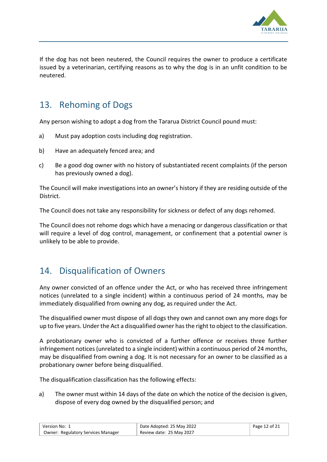

If the dog has not been neutered, the Council requires the owner to produce a certificate issued by a veterinarian, certifying reasons as to why the dog is in an unfit condition to be neutered.

# <span id="page-11-0"></span>13. Rehoming of Dogs

Any person wishing to adopt a dog from the Tararua District Council pound must:

- a) Must pay adoption costs including dog registration.
- b) Have an adequately fenced area; and
- c) Be a good dog owner with no history of substantiated recent complaints (if the person has previously owned a dog).

The Council will make investigations into an owner's history if they are residing outside of the District.

The Council does not take any responsibility for sickness or defect of any dogs rehomed.

The Council does not rehome dogs which have a menacing or dangerous classification or that will require a level of dog control, management, or confinement that a potential owner is unlikely to be able to provide.

# <span id="page-11-1"></span>14. Disqualification of Owners

Any owner convicted of an offence under the Act, or who has received three infringement notices (unrelated to a single incident) within a continuous period of 24 months, may be immediately disqualified from owning any dog, as required under the Act.

The disqualified owner must dispose of all dogs they own and cannot own any more dogs for up to five years. Under the Act a disqualified owner has the right to object to the classification.

A probationary owner who is convicted of a further offence or receives three further infringement notices (unrelated to a single incident) within a continuous period of 24 months, may be disqualified from owning a dog. It is not necessary for an owner to be classified as a probationary owner before being disqualified.

The disqualification classification has the following effects:

a) The owner must within 14 days of the date on which the notice of the decision is given, dispose of every dog owned by the disqualified person; and

| Version No: 1                             | Date Adopted: 25 May 2022 | Page 12 of 21 |
|-------------------------------------------|---------------------------|---------------|
| <b>Owner: Regulatory Services Manager</b> | Review date: 25 May 2027  |               |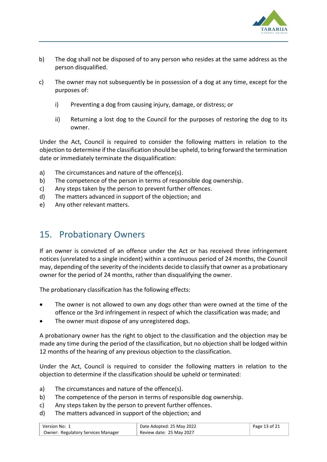

- b) The dog shall not be disposed of to any person who resides at the same address as the person disqualified.
- c) The owner may not subsequently be in possession of a dog at any time, except for the purposes of:
	- i) Preventing a dog from causing injury, damage, or distress; or
	- ii) Returning a lost dog to the Council for the purposes of restoring the dog to its owner.

Under the Act, Council is required to consider the following matters in relation to the objection to determine if the classification should be upheld, to bring forward the termination date or immediately terminate the disqualification:

- a) The circumstances and nature of the offence(s).
- b) The competence of the person in terms of responsible dog ownership.
- c) Any steps taken by the person to prevent further offences.
- d) The matters advanced in support of the objection; and
- e) Any other relevant matters.

# <span id="page-12-0"></span>15. Probationary Owners

If an owner is convicted of an offence under the Act or has received three infringement notices (unrelated to a single incident) within a continuous period of 24 months, the Council may, depending of the severity of the incidents decide to classify that owner as a probationary owner for the period of 24 months, rather than disqualifying the owner.

The probationary classification has the following effects:

- The owner is not allowed to own any dogs other than were owned at the time of the offence or the 3rd infringement in respect of which the classification was made; and
- The owner must dispose of any unregistered dogs.

A probationary owner has the right to object to the classification and the objection may be made any time during the period of the classification, but no objection shall be lodged within 12 months of the hearing of any previous objection to the classification.

Under the Act, Council is required to consider the following matters in relation to the objection to determine if the classification should be upheld or terminated:

- a) The circumstances and nature of the offence(s).
- b) The competence of the person in terms of responsible dog ownership.
- c) Any steps taken by the person to prevent further offences.
- d) The matters advanced in support of the objection; and

| Version No: 1                             | Date Adopted: 25 May 2022 | Page 13 of 21 |
|-------------------------------------------|---------------------------|---------------|
| <b>Owner: Regulatory Services Manager</b> | Review date: 25 May 2027  |               |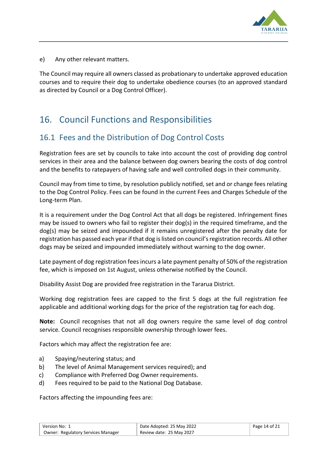

e) Any other relevant matters.

The Council may require all owners classed as probationary to undertake approved education courses and to require their dog to undertake obedience courses (to an approved standard as directed by Council or a Dog Control Officer).

# <span id="page-13-0"></span>16. Council Functions and Responsibilities

#### <span id="page-13-1"></span>16.1 Fees and the Distribution of Dog Control Costs

Registration fees are set by councils to take into account the cost of providing dog control services in their area and the balance between dog owners bearing the costs of dog control and the benefits to ratepayers of having safe and well controlled dogs in their community.

Council may from time to time, by resolution publicly notified, set and or change fees relating to the Dog Control Policy. Fees can be found in the current Fees and Charges Schedule of the Long-term Plan.

It is a requirement under the Dog Control Act that all dogs be registered. Infringement fines may be issued to owners who fail to register their dog(s) in the required timeframe, and the dog(s) may be seized and impounded if it remains unregistered after the penalty date for registration has passed each year if that dog is listed on council's registration records. All other dogs may be seized and impounded immediately without warning to the dog owner.

Late payment of dog registration fees incurs a late payment penalty of 50% of the registration fee, which is imposed on 1st August, unless otherwise notified by the Council.

Disability Assist Dog are provided free registration in the Tararua District.

Working dog registration fees are capped to the first 5 dogs at the full registration fee applicable and additional working dogs for the price of the registration tag for each dog.

**Note:** Council recognises that not all dog owners require the same level of dog control service. Council recognises responsible ownership through lower fees.

Factors which may affect the registration fee are:

- a) Spaying/neutering status; and
- b) The level of Animal Management services required); and
- c) Compliance with Preferred Dog Owner requirements.
- d) Fees required to be paid to the National Dog Database.

Factors affecting the impounding fees are:

| Version No: 1                             | Date Adopted: 25 May 2022 | Page 14 of 21 |
|-------------------------------------------|---------------------------|---------------|
| <b>Owner: Regulatory Services Manager</b> | Review date: 25 May 2027  |               |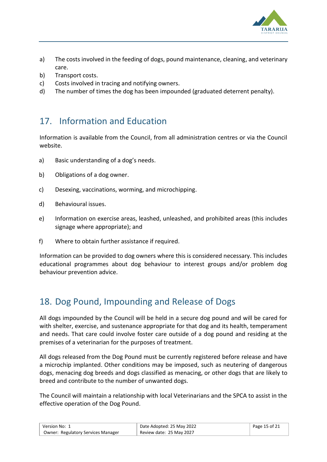

- a) The costs involved in the feeding of dogs, pound maintenance, cleaning, and veterinary care.
- b) Transport costs.
- c) Costs involved in tracing and notifying owners.
- d) The number of times the dog has been impounded (graduated deterrent penalty).

# <span id="page-14-0"></span>17. Information and Education

Information is available from the Council, from all administration centres or via the Council website.

- a) Basic understanding of a dog's needs.
- b) Obligations of a dog owner.
- c) Desexing, vaccinations, worming, and microchipping.
- d) Behavioural issues.
- e) Information on exercise areas, leashed, unleashed, and prohibited areas (this includes signage where appropriate); and
- f) Where to obtain further assistance if required.

Information can be provided to dog owners where this is considered necessary. This includes educational programmes about dog behaviour to interest groups and/or problem dog behaviour prevention advice.

# <span id="page-14-1"></span>18. Dog Pound, Impounding and Release of Dogs

All dogs impounded by the Council will be held in a secure dog pound and will be cared for with shelter, exercise, and sustenance appropriate for that dog and its health, temperament and needs. That care could involve foster care outside of a dog pound and residing at the premises of a veterinarian for the purposes of treatment.

All dogs released from the Dog Pound must be currently registered before release and have a microchip implanted. Other conditions may be imposed, such as neutering of dangerous dogs, menacing dog breeds and dogs classified as menacing, or other dogs that are likely to breed and contribute to the number of unwanted dogs.

The Council will maintain a relationship with local Veterinarians and the SPCA to assist in the effective operation of the Dog Pound.

| ` Version No: 1                           | Date Adopted: 25 May 2022 | Page 15 of 21 |
|-------------------------------------------|---------------------------|---------------|
| <b>Owner: Regulatory Services Manager</b> | Review date: 25 May 2027  |               |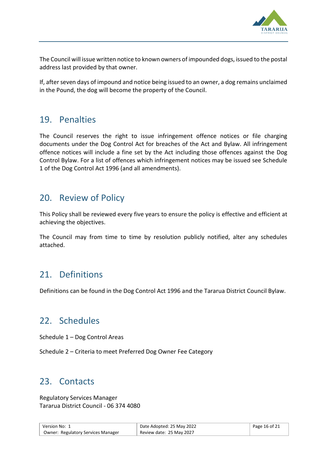

The Council will issue written notice to known owners of impounded dogs, issued to the postal address last provided by that owner.

If, after seven days of impound and notice being issued to an owner, a dog remains unclaimed in the Pound, the dog will become the property of the Council.

## <span id="page-15-0"></span>19. Penalties

The Council reserves the right to issue infringement offence notices or file charging documents under the Dog Control Act for breaches of the Act and Bylaw. All infringement offence notices will include a fine set by the Act including those offences against the Dog Control Bylaw. For a list of offences which infringement notices may be issued see Schedule 1 of the Dog Control Act 1996 (and all amendments).

#### <span id="page-15-1"></span>20. Review of Policy

This Policy shall be reviewed every five years to ensure the policy is effective and efficient at achieving the objectives.

The Council may from time to time by resolution publicly notified, alter any schedules attached.

#### <span id="page-15-2"></span>21. Definitions

Definitions can be found in the Dog Control Act 1996 and the Tararua District Council Bylaw.

# <span id="page-15-3"></span>22. Schedules

Schedule 1 – Dog Control Areas

Schedule 2 – Criteria to meet Preferred Dog Owner Fee Category

#### <span id="page-15-4"></span>23. Contacts

Regulatory Services Manager Tararua District Council - 06 374 4080

| Version No: 1                             | Date Adopted: 25 May 2022 | Page 16 of 21 |
|-------------------------------------------|---------------------------|---------------|
| <b>Owner: Regulatory Services Manager</b> | Review date: 25 May 2027  |               |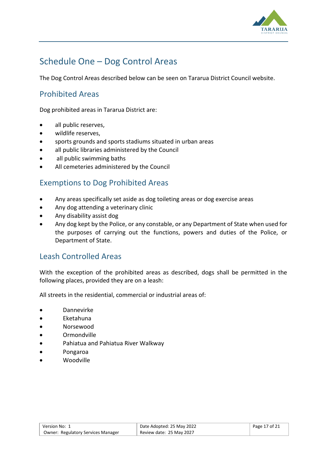

# <span id="page-16-0"></span>Schedule One – Dog Control Areas

The Dog Control Areas described below can be seen on Tararua District Council website.

#### <span id="page-16-1"></span>Prohibited Areas

Dog prohibited areas in Tararua District are:

- all public reserves,
- wildlife reserves,
- sports grounds and sports stadiums situated in urban areas
- all public libraries administered by the Council
- all public swimming baths
- All cemeteries administered by the Council

#### <span id="page-16-2"></span>Exemptions to Dog Prohibited Areas

- Any areas specifically set aside as dog toileting areas or dog exercise areas
- Any dog attending a veterinary clinic
- Any disability assist dog
- Any dog kept by the Police, or any constable, or any Department of State when used for the purposes of carrying out the functions, powers and duties of the Police, or Department of State.

#### <span id="page-16-3"></span>Leash Controlled Areas

With the exception of the prohibited areas as described, dogs shall be permitted in the following places, provided they are on a leash:

All streets in the residential, commercial or industrial areas of:

- Dannevirke
- Eketahuna
- Norsewood
- Ormondville
- Pahiatua and Pahiatua River Walkway
- Pongaroa
- Woodville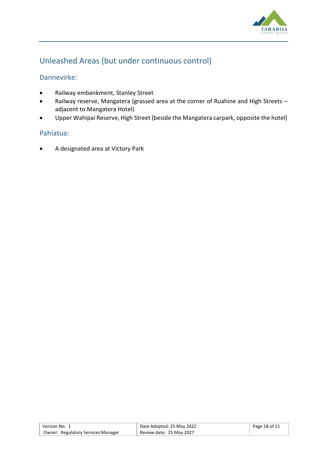

## <span id="page-17-0"></span>Unleashed Areas (but under continuous control)

#### Dannevirke:

- Railway embankment, Stanley Street
- Railway reserve, Mangatera (grassed area at the corner of Ruahine and High Streets adjacent to Mangatera Hotel)
- Upper Wahipai Reserve, High Street (beside the Mangatera carpark, opposite the hotel)

#### Pahiatua:

• A designated area at Victory Park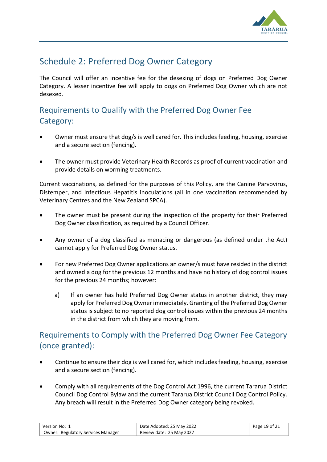

# <span id="page-18-0"></span>Schedule 2: Preferred Dog Owner Category

The Council will offer an incentive fee for the desexing of dogs on Preferred Dog Owner Category. A lesser incentive fee will apply to dogs on Preferred Dog Owner which are not desexed.

# <span id="page-18-1"></span>Requirements to Qualify with the Preferred Dog Owner Fee Category:

- Owner must ensure that dog/s is well cared for. This includes feeding, housing, exercise and a secure section (fencing).
- The owner must provide Veterinary Health Records as proof of current vaccination and provide details on worming treatments.

Current vaccinations, as defined for the purposes of this Policy, are the Canine Parvovirus, Distemper, and Infectious Hepatitis inoculations (all in one vaccination recommended by Veterinary Centres and the New Zealand SPCA).

- The owner must be present during the inspection of the property for their Preferred Dog Owner classification, as required by a Council Officer.
- Any owner of a dog classified as menacing or dangerous (as defined under the Act) cannot apply for Preferred Dog Owner status.
- For new Preferred Dog Owner applications an owner/s must have resided in the district and owned a dog for the previous 12 months and have no history of dog control issues for the previous 24 months; however:
	- a) If an owner has held Preferred Dog Owner status in another district, they may apply for Preferred Dog Owner immediately. Granting of the Preferred Dog Owner status is subject to no reported dog control issues within the previous 24 months in the district from which they are moving from.

#### <span id="page-18-2"></span>Requirements to Comply with the Preferred Dog Owner Fee Category (once granted):

- Continue to ensure their dog is well cared for, which includes feeding, housing, exercise and a secure section (fencing).
- Comply with all requirements of the Dog Control Act 1996, the current Tararua District Council Dog Control Bylaw and the current Tararua District Council Dog Control Policy. Any breach will result in the Preferred Dog Owner category being revoked.

| Version No: 1                             | Date Adopted: 25 May 2022 | Page 19 of 21 |
|-------------------------------------------|---------------------------|---------------|
| <b>Owner: Regulatory Services Manager</b> | Review date: 25 May 2027  |               |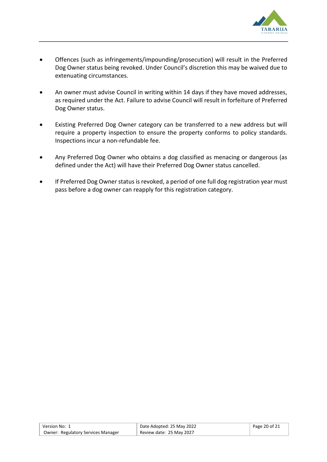

- Offences (such as infringements/impounding/prosecution) will result in the Preferred Dog Owner status being revoked. Under Council's discretion this may be waived due to extenuating circumstances.
- An owner must advise Council in writing within 14 days if they have moved addresses, as required under the Act. Failure to advise Council will result in forfeiture of Preferred Dog Owner status.
- Existing Preferred Dog Owner category can be transferred to a new address but will require a property inspection to ensure the property conforms to policy standards. Inspections incur a non-refundable fee.
- Any Preferred Dog Owner who obtains a dog classified as menacing or dangerous (as defined under the Act) will have their Preferred Dog Owner status cancelled.
- If Preferred Dog Owner status is revoked, a period of one full dog registration year must pass before a dog owner can reapply for this registration category.